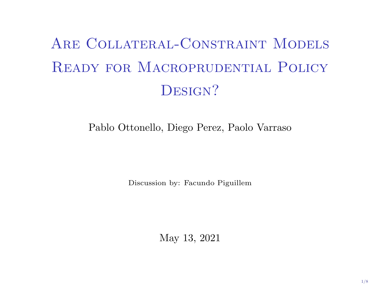# Are Collateral-Constraint Models Ready for Macroprudential Policy DESIGN?

### Pablo Ottonello, Diego Perez, Paolo Varraso

Discussion by: Facundo Piguillem

May 13, 2021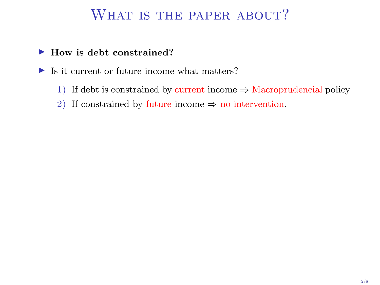# WHAT IS THE PAPER ABOUT?

### $\blacktriangleright$  How is debt constrained?

 $\blacktriangleright$  Is it current or future income what matters?

- 1) If debt is constrained by current income  $\Rightarrow$  Macroprudencial policy
- 2) If constrained by future income  $\Rightarrow$  no intervention.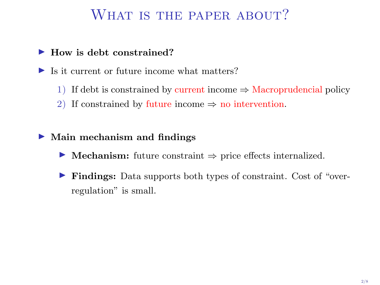# WHAT IS THE PAPER ABOUT?

#### $\blacktriangleright$  How is debt constrained?

 $\blacktriangleright$  Is it current or future income what matters?

- 1) If debt is constrained by current income  $\Rightarrow$  Macroprudencial policy
- 2) If constrained by future income  $\Rightarrow$  no intervention.

#### $\blacktriangleright$  Main mechanism and findings

- $\triangleright$  Mechanism: future constraint  $\Rightarrow$  price effects internalized.
- I Findings: Data supports both types of constraint. Cost of "overregulation" is small.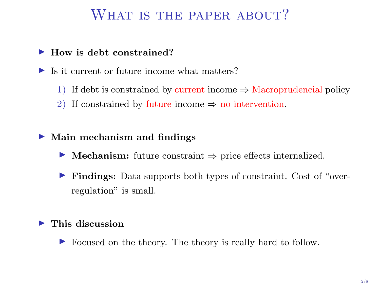### WHAT IS THE PAPER ABOUT?

### $\blacktriangleright$  How is debt constrained?

 $\blacktriangleright$  Is it current or future income what matters?

- 1) If debt is constrained by current income  $\Rightarrow$  Macroprudencial policy
- 2) If constrained by future income  $\Rightarrow$  no intervention.

#### $\blacktriangleright$  Main mechanism and findings

- $\triangleright$  Mechanism: future constraint  $\Rightarrow$  price effects internalized.
- I Findings: Data supports both types of constraint. Cost of "overregulation" is small.

#### $\blacktriangleright$  This discussion

In Focused on the theory. The theory is really hard to follow.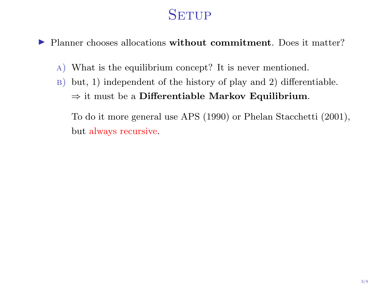# **SETUP**

In Planner chooses allocations without commitment. Does it matter?

- a) What is the equilibrium concept? It is never mentioned.
- $\vert$ B) but, 1) independent of the history of play and 2) differentiable.  $\Rightarrow$  it must be a Differentiable Markov Equilibrium.

To do it more general use APS (1990) or Phelan Stacchetti (2001), but always recursive.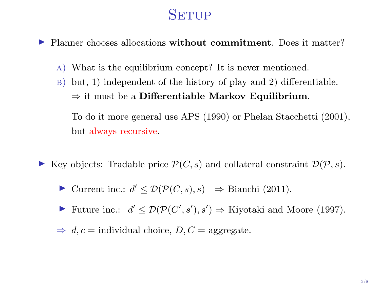# **SETUP**

I Planner chooses allocations without commitment. Does it matter?

- a) What is the equilibrium concept? It is never mentioned.
- $\vert$ B) but, 1) independent of the history of play and 2) differentiable.  $\Rightarrow$  it must be a Differentiable Markov Equilibrium.

To do it more general use APS (1990) or Phelan Stacchetti (2001), but always recursive.

- Exercise Negradable price  $\mathcal{P}(C, s)$  and collateral constraint  $\mathcal{D}(\mathcal{P}, s)$ .
	- ► Current inc.:  $d' \leq \mathcal{D}(\mathcal{P}(C, s), s) \Rightarrow$  Bianchi (2011).
	- ► Future inc.:  $d' \leq \mathcal{D}(\mathcal{P}(C', s'), s') \Rightarrow$  Kiyotaki and Moore (1997).
	- $\Rightarrow d, c =$  individual choice,  $D, C =$  aggregate.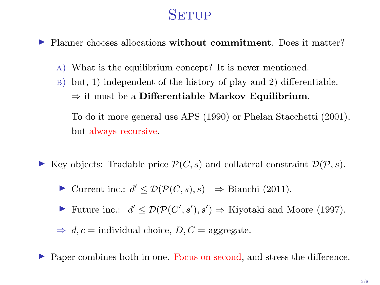# **SETUP**

I Planner chooses allocations without commitment. Does it matter?

- a) What is the equilibrium concept? It is never mentioned.
- $\vert$ B) but, 1) independent of the history of play and 2) differentiable.  $\Rightarrow$  it must be a Differentiable Markov Equilibrium.

To do it more general use APS (1990) or Phelan Stacchetti (2001), but always recursive.

- Exercise Negradable price  $\mathcal{P}(C, s)$  and collateral constraint  $\mathcal{D}(\mathcal{P}, s)$ .
	- ► Current inc.:  $d' \leq \mathcal{D}(\mathcal{P}(C, s), s) \Rightarrow$  Bianchi (2011).
	- ► Future inc.:  $d' \leq \mathcal{D}(\mathcal{P}(C', s'), s') \Rightarrow$  Kiyotaki and Moore (1997).

 $\Rightarrow d, c =$  individual choice,  $D, C =$  aggregate.

I Paper combines both in one. Focus on second, and stress the difference.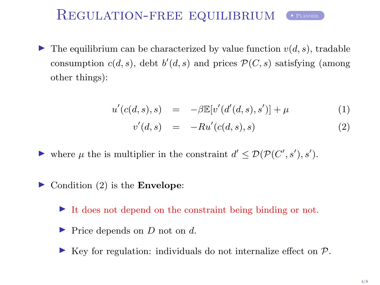### REGULATION-FREE EQUILIBRIUM PLANNER.

In The equilibrium can be characterized by value function  $v(d, s)$ , tradable consumption  $c(d, s)$ , debt  $b'(d, s)$  and prices  $\mathcal{P}(C, s)$  satisfying (among other things):

$$
u'(c(d,s),s) = -\beta \mathbb{E}[v'(d'(d,s),s')] + \mu \tag{1}
$$

<span id="page-7-0"></span>
$$
v'(d,s) = -Ru'(c(d,s),s) \tag{2}
$$

- ightharpoonup where  $\mu$  the is multiplier in the constraint  $d' \leq \mathcal{D}(\mathcal{P}(C', s'), s')$ .
- $\triangleright$  Condition (2) is the **Envelope**:
	- $\blacktriangleright$  It does not depend on the constraint being binding or not.
	- $\blacktriangleright$  Price depends on D not on d.
	- $\blacktriangleright$  Key for regulation: individuals do not internalize effect on  $\mathcal{P}$ .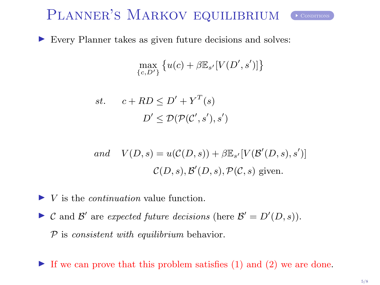# PLANNER'S MARKOV EQUILIBRIUM CONDITIONS

<span id="page-8-0"></span>

 $\triangleright$  Every Planner takes as given future decisions and solves:

$$
\max_{\{c,D'\}} \left\{ u(c) + \beta \mathbb{E}_{s'}[V(D',s')] \right\}
$$

st. 
$$
c + RD \le D' + Y^T(s)
$$
  
 $D' \le D(\mathcal{P}(C', s'), s')$ 

and 
$$
V(D, s) = u(C(D, s)) + \beta \mathbb{E}_{s'}[V(\mathcal{B}'(D, s), s')]
$$
  
 $C(D, s), \mathcal{B}'(D, s), \mathcal{P}(C, s)$  given.

 $\blacktriangleright$  V is the *continuation* value function.

- $\triangleright$  C and B' are expected future decisions (here  $\mathcal{B}' = D'(D, s)$ ).  $P$  is *consistent with equilibrium* behavior.
- $\blacktriangleright$  If we can prove that this problem satisfies (1) and (2) we are done.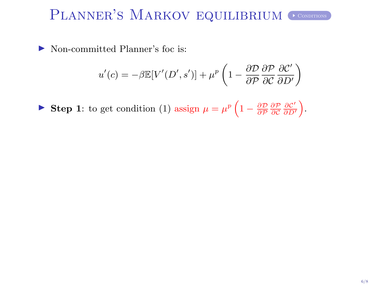# PLANNER'S MARKOV EQUILIBRIUM CONDITIONS

 $\triangleright$  Non-committed Planner's foc is:

$$
u'(c) = -\beta \mathbb{E}[V'(D', s')] + \mu^{p} \left(1 - \frac{\partial \mathcal{D}}{\partial \mathcal{P}} \frac{\partial \mathcal{P}}{\partial C} \frac{\partial C'}{\partial D'}\right)
$$

Step 1: to get condition (1) assign  $\mu = \mu^p \left(1 - \frac{\partial \mathcal{D}}{\partial \mathcal{P}} \frac{\partial \mathcal{P}}{\partial c} \frac{\partial c'}{\partial D'}\right)$ .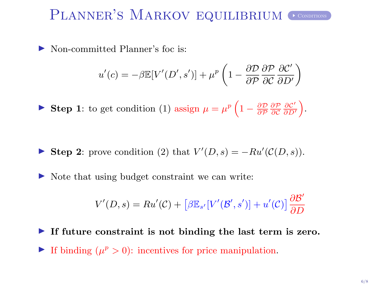# PLANNER'S MARKOV EQUILIBRIUM CONDITIONS

 $\triangleright$  Non-committed Planner's foc is:

$$
u'(c) = -\beta \mathbb{E}[V'(D', s')] + \mu^{p} \left(1 - \frac{\partial \mathcal{D}}{\partial \mathcal{P}} \frac{\partial \mathcal{P}}{\partial C} \frac{\partial C'}{\partial D'}\right)
$$

Step 1: to get condition (1) assign  $\mu = \mu^p \left(1 - \frac{\partial \mathcal{D}}{\partial \mathcal{P}} \frac{\partial \mathcal{P}}{\partial c} \frac{\partial c'}{\partial D'}\right)$ .

Step 2: prove condition (2) that  $V'(D, s) = -Ru'(\mathcal{C}(D, s)).$ 

 $\triangleright$  Note that using budget constraint we can write:

$$
V'(D, s) = Ru'(\mathcal{C}) + [\beta \mathbb{E}_{s'}[V'(\mathcal{B}', s')] + u'(\mathcal{C})] \frac{\partial \mathcal{B}'}{\partial D}
$$

If future constraint is not binding the last term is zero. If binding  $(\mu^p > 0)$ : incentives for price manipulation.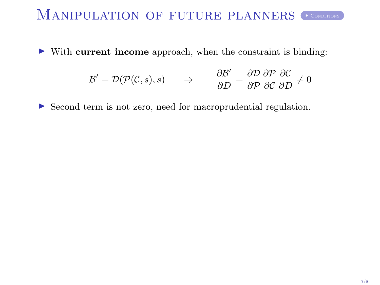# MANIPULATION OF FUTURE PLANNERS CONDITIONS

I With current income approach, when the constraint is binding:

$$
\mathcal{B}' = \mathcal{D}(\mathcal{P}(\mathcal{C}, s), s) \qquad \Rightarrow \qquad \frac{\partial \mathcal{B}'}{\partial D} = \frac{\partial \mathcal{D}}{\partial \mathcal{P}} \frac{\partial \mathcal{P}}{\partial c} \frac{\partial \mathcal{C}}{\partial D} \neq 0
$$

I Second term is not zero, need for macroprudential regulation.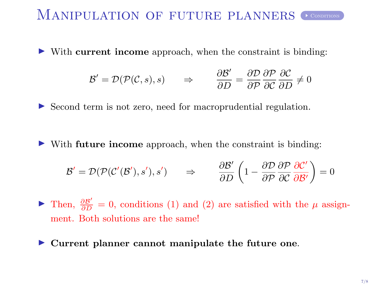# MANIPULATION OF FUTURE PLANNERS CONDITIONS

 $\triangleright$  With current income approach, when the constraint is binding:

$$
\mathcal{B}' = \mathcal{D}(\mathcal{P}(\mathcal{C}, s), s) \qquad \Rightarrow \qquad \frac{\partial \mathcal{B}'}{\partial D} = \frac{\partial \mathcal{D}}{\partial \mathcal{P}} \frac{\partial \mathcal{P}}{\partial c} \frac{\partial \mathcal{C}}{\partial D} \neq 0
$$

▶ Second term is not zero, need for macroprudential regulation.

 $\triangleright$  With future income approach, when the constraint is binding:

$$
\mathcal{B}' = \mathcal{D}(\mathcal{P}(\mathcal{C}'(\mathcal{B}'), s'), s') \quad \Rightarrow \quad \frac{\partial \mathcal{B}'}{\partial D} \left(1 - \frac{\partial \mathcal{D}}{\partial \mathcal{P}} \frac{\partial \mathcal{P}}{\partial \mathcal{C}} \frac{\partial \mathcal{C}'}{\partial \mathcal{B}'}\right) = 0
$$

► Then,  $\frac{\partial B'}{\partial D} = 0$ , conditions (1) and (2) are satisfied with the  $\mu$  assignment. Both solutions are the same!

 $\blacktriangleright$  Current planner cannot manipulate the future one.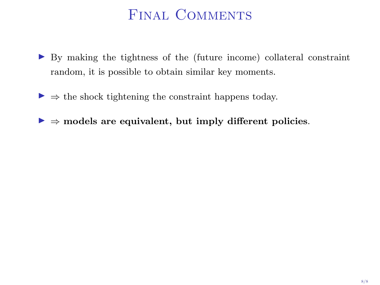# Final Comments

- I By making the tightness of the (future income) collateral constraint random, it is possible to obtain similar key moments.
- $\triangleright \Rightarrow$  the shock tightening the constraint happens today.
- $\triangleright \Rightarrow$  models are equivalent, but imply different policies.